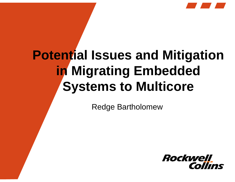

#### **Potential Issues and Mitigation in Migrating Embedded Systems to Multicore l**

Redge Bartholomew

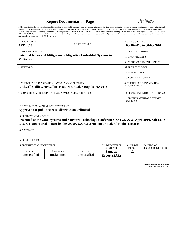| <b>Report Documentation Page</b>                                                                                                                                                                                                                                                                                                                                                                                                                                                                                                                                                                                                                                                                                                                                                                                                                                   |                             |                              |                                                   | Form Approved<br>OMB No. 0704-0188                  |                           |  |
|--------------------------------------------------------------------------------------------------------------------------------------------------------------------------------------------------------------------------------------------------------------------------------------------------------------------------------------------------------------------------------------------------------------------------------------------------------------------------------------------------------------------------------------------------------------------------------------------------------------------------------------------------------------------------------------------------------------------------------------------------------------------------------------------------------------------------------------------------------------------|-----------------------------|------------------------------|---------------------------------------------------|-----------------------------------------------------|---------------------------|--|
| Public reporting burden for the collection of information is estimated to average 1 hour per response, including the time for reviewing instructions, searching existing data sources, gathering and<br>maintaining the data needed, and completing and reviewing the collection of information. Send comments regarding this burden estimate or any other aspect of this collection of information,<br>including suggestions for reducing this burden, to Washington Headquarters Services, Directorate for Information Operations and Reports, 1215 Jefferson Davis Highway, Suite 1204, Arlington<br>VA 22202-4302. Respondents should be aware that notwithstanding any other provision of law, no person shall be subject to a penalty for failing to comply with a collection of information if it<br>does not display a currently valid OMB control number. |                             |                              |                                                   |                                                     |                           |  |
| 1. REPORT DATE<br>2. REPORT TYPE<br><b>APR 2010</b>                                                                                                                                                                                                                                                                                                                                                                                                                                                                                                                                                                                                                                                                                                                                                                                                                |                             |                              |                                                   | <b>3. DATES COVERED</b><br>00-00-2010 to 00-00-2010 |                           |  |
| <b>4. TITLE AND SUBTITLE</b>                                                                                                                                                                                                                                                                                                                                                                                                                                                                                                                                                                                                                                                                                                                                                                                                                                       |                             |                              |                                                   | <b>5a. CONTRACT NUMBER</b>                          |                           |  |
| <b>Potential Issues and Mitigation in Migrating Embedded Systems to</b><br><b>Multicore</b>                                                                                                                                                                                                                                                                                                                                                                                                                                                                                                                                                                                                                                                                                                                                                                        |                             |                              |                                                   | <b>5b. GRANT NUMBER</b>                             |                           |  |
|                                                                                                                                                                                                                                                                                                                                                                                                                                                                                                                                                                                                                                                                                                                                                                                                                                                                    |                             |                              |                                                   | 5c. PROGRAM ELEMENT NUMBER                          |                           |  |
| 6. AUTHOR(S)                                                                                                                                                                                                                                                                                                                                                                                                                                                                                                                                                                                                                                                                                                                                                                                                                                                       |                             |                              |                                                   | <b>5d. PROJECT NUMBER</b>                           |                           |  |
|                                                                                                                                                                                                                                                                                                                                                                                                                                                                                                                                                                                                                                                                                                                                                                                                                                                                    |                             |                              |                                                   | <b>5e. TASK NUMBER</b>                              |                           |  |
|                                                                                                                                                                                                                                                                                                                                                                                                                                                                                                                                                                                                                                                                                                                                                                                                                                                                    |                             |                              |                                                   | <b>5f. WORK UNIT NUMBER</b>                         |                           |  |
| 7. PERFORMING ORGANIZATION NAME(S) AND ADDRESS(ES)<br>Rockwell Collins, 400 Collins Road N.E., Cedar Rapids, IA, 52498                                                                                                                                                                                                                                                                                                                                                                                                                                                                                                                                                                                                                                                                                                                                             |                             |                              |                                                   | 8. PERFORMING ORGANIZATION<br><b>REPORT NUMBER</b>  |                           |  |
| 9. SPONSORING/MONITORING AGENCY NAME(S) AND ADDRESS(ES)                                                                                                                                                                                                                                                                                                                                                                                                                                                                                                                                                                                                                                                                                                                                                                                                            |                             |                              |                                                   | 10. SPONSOR/MONITOR'S ACRONYM(S)                    |                           |  |
|                                                                                                                                                                                                                                                                                                                                                                                                                                                                                                                                                                                                                                                                                                                                                                                                                                                                    |                             |                              |                                                   | 11. SPONSOR/MONITOR'S REPORT<br>NUMBER(S)           |                           |  |
| 12. DISTRIBUTION/AVAILABILITY STATEMENT                                                                                                                                                                                                                                                                                                                                                                                                                                                                                                                                                                                                                                                                                                                                                                                                                            |                             |                              |                                                   |                                                     |                           |  |
| Approved for public release; distribution unlimited                                                                                                                                                                                                                                                                                                                                                                                                                                                                                                                                                                                                                                                                                                                                                                                                                |                             |                              |                                                   |                                                     |                           |  |
| <b>13. SUPPLEMENTARY NOTES</b><br>Presented at the 22nd Systems and Software Technology Conference (SSTC), 26-29 April 2010, Salt Lake<br>City, UT. Sponsored in part by the USAF. U.S. Government or Federal Rights License                                                                                                                                                                                                                                                                                                                                                                                                                                                                                                                                                                                                                                       |                             |                              |                                                   |                                                     |                           |  |
| 14. ABSTRACT                                                                                                                                                                                                                                                                                                                                                                                                                                                                                                                                                                                                                                                                                                                                                                                                                                                       |                             |                              |                                                   |                                                     |                           |  |
| <b>15. SUBJECT TERMS</b>                                                                                                                                                                                                                                                                                                                                                                                                                                                                                                                                                                                                                                                                                                                                                                                                                                           |                             |                              |                                                   |                                                     |                           |  |
| 16. SECURITY CLASSIFICATION OF:                                                                                                                                                                                                                                                                                                                                                                                                                                                                                                                                                                                                                                                                                                                                                                                                                                    | 17. LIMITATION OF           | 18. NUMBER                   | 19a. NAME OF                                      |                                                     |                           |  |
| a. REPORT<br>unclassified                                                                                                                                                                                                                                                                                                                                                                                                                                                                                                                                                                                                                                                                                                                                                                                                                                          | b. ABSTRACT<br>unclassified | c. THIS PAGE<br>unclassified | <b>ABSTRACT</b><br>Same as<br><b>Report (SAR)</b> | OF PAGES<br>12                                      | <b>RESPONSIBLE PERSON</b> |  |

**Standard Form 298 (Rev. 8-98)**<br>Prescribed by ANSI Std Z39-18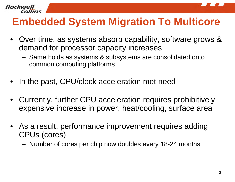



#### **Embedded System Migration To Multicore**

- • Over time, as systems absorb capability, software grows & demand for processor capacity increases
	- – Same holds as systems & subsystems are consolidated onto common computing platforms
- •In the past, CPU/clock acceleration met need
- • Currently, further CPU acceleration requires prohibitively expensive increase in power, heat/cooling, surface area
- As a result, performance improvement requires adding CPUs (cores)
	- –Number of cores per chip now doubles every 18-24 months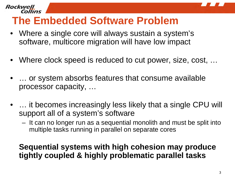

# **The Embedded Software Problem**

**Rockwell** 

- Where a single core will always sustain a system's software, multicore migration will have low impact
- Where clock speed is reduced to cut power, size, cost, …
- … or system absorbs features that consume available processor capacity, …
- … it becomes increasingly less likely that a single CPU will support all of a system's software
	- – It can no longer run as a sequential monolith and must be split into multiple tasks running in parallel on separate cores

#### **Sequential systems with high cohesion may produce tightly coupled & highly problematic parallel tasks**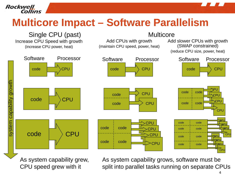**Rockwell**. Collins

#### **Multicore Impact – Software Parallelism**



As system capability grew, CPU speed grew with it

As system capability grows, software must be split into parallel tasks running on separate CPUs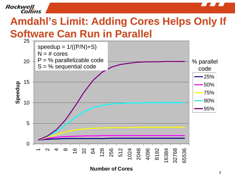

### Rockwell

### **Amdahl's Limit: Adding Cores Helps Only If Amdahl s Software Can Run in Parallel**

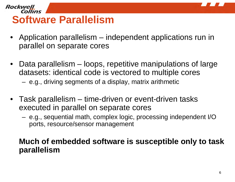

#### **Rockwell Software Parallelism**

- Application parallelism independent applications run in parallel on separate cores
- • Data parallelism – loops, repetitive manipulations of large datasets: identical code is vectored to multiple cores
	- –e.g., driving segments of a display, matrix arithmetic
- • Task parallelism – time-driven or event-driven tasks executed in parallel on separate cores
	- – e.g., sequential math, complex logic, processing independent I/O ports, resource/sensor management

#### **Much of embedded software is susceptible only to task parallelism**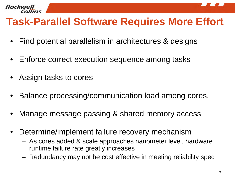

### **Task-Parallel Software Requires More Effort**

- •Find potential parallelism in architectures & designs
- •Enforce correct execution sequence among tasks
- •Assign tasks to cores
- •Balance processing/communication load among cores,
- •Manage message passing & shared memory access
- •Determine/implement failure recovery mechanism
	- As cores added & scale approaches nanometer level, hardware runtime failure rate greatly increases
	- Redundancy may not be cost effective in meeting reliability spec – $-$  Redundancy may not be cost effective in meeting reliabilit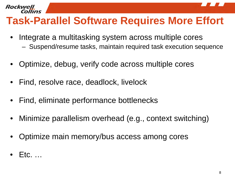

#### **Rockwell**

### **Task-Parallel Software Re quires More Effort**

- • Integrate a multitasking system across multiple cores
	- – $-$  Suspend/resume tasks, maintain required task execution sequence
- •Optimize, debug, verify code across multiple cores
- •Find, resolve race, deadlock, livelock
- •Find, eliminate performance bottlenecks
- •Minimize parallelism overhead (e.g., context switching)
- •• Optimize main memory/bus access among cores
- •Etc. …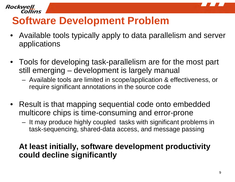

#### **Rockwell**.

## **Software Development Problem**

- • Available tools typically apply to data parallelism and server applications
- Tools for developing task-parallelism are for the most part still emerging – development is largely manual
	- – Available tools are limited in scope/application & effectiveness, or require significant annotations in the source code
- Result is that mapping sequential code onto embedded multicore chips is time-consuming and error-prone
	- – It may produce highly coupled tasks with significant problems in task-sequencing, shared-data access, and message passing

#### **At least initially, software development productivity could decline significantly**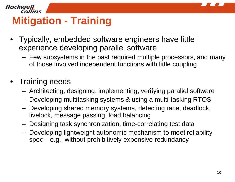

# **Mitigation - Training**

- Typically, embedded software engineers have little experience developing parallel software
	- – Few subsystems in the past required multiple processors, and many of those involved independent functions with little coupling

#### • Training needs

**Rockwell** 

- –– Architecting, designing, implementing, verifying parallel software
- –Developing multitasking systems & using a multi-tasking RTOS
- – Developing shared memory systems, detecting race, deadlock, livelock, message passing, load balancing
- –Designing task synchronization, time-correlating test data
- – $-$  Developing lightweight autonomic mechanism to meet reliability spec – e.g., without prohibitively expensive redundancy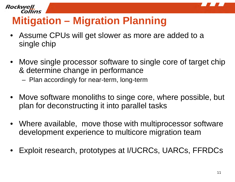

### **Rockwell**

# **Mitigation – Migration Planning**

- Assume CPUs will get slower as more are added to a single chip
- Move single processor software to single core of target chip & determine change in performance
	- –Plan accordingly for near-term, long-term
- Move software monoliths to singe core, where possible, but plan for deconstructing it into parallel tasks
- Where available, move those with multiprocessor software development experience to multicore migration team
- •Exploit research, prototypes at I/UCRCs, UARCs, FFRDCs